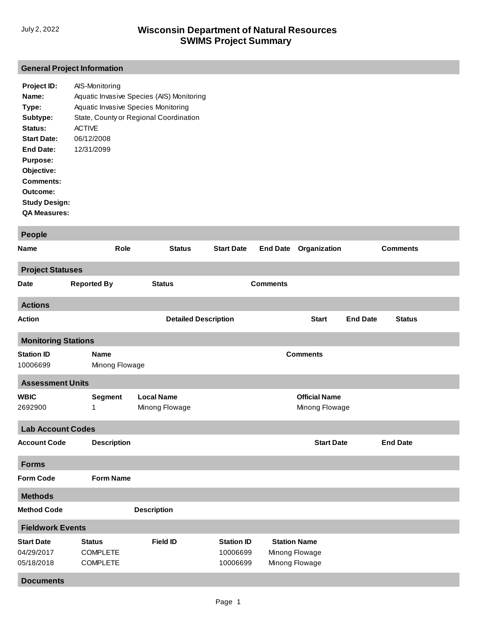## **General Project Information**

| Project ID:          | AIS-Monitoring                            |
|----------------------|-------------------------------------------|
| Name:                | Aquatic Invasive Species (AIS) Monitoring |
| Type:                | Aquatic Invasive Species Monitoring       |
| Subtype:             | State, County or Regional Coordination    |
| Status:              | <b>ACTIVE</b>                             |
| <b>Start Date:</b>   | 06/12/2008                                |
| End Date:            | 12/31/2099                                |
| <b>Purpose:</b>      |                                           |
| Objective:           |                                           |
| Comments:            |                                           |
| Outcome:             |                                           |
| <b>Study Design:</b> |                                           |
| <b>QA Measures:</b>  |                                           |

| <b>People</b>                                 |                                                     |                                     |                                           |                     |                                        |                 |                 |  |
|-----------------------------------------------|-----------------------------------------------------|-------------------------------------|-------------------------------------------|---------------------|----------------------------------------|-----------------|-----------------|--|
| Name                                          | Role                                                | <b>Status</b>                       | <b>Start Date</b>                         | <b>End Date</b>     | Organization                           |                 | <b>Comments</b> |  |
| <b>Project Statuses</b>                       |                                                     |                                     |                                           |                     |                                        |                 |                 |  |
| <b>Date</b>                                   | <b>Reported By</b>                                  | <b>Status</b>                       |                                           | <b>Comments</b>     |                                        |                 |                 |  |
| <b>Actions</b>                                |                                                     |                                     |                                           |                     |                                        |                 |                 |  |
| <b>Action</b>                                 |                                                     | <b>Detailed Description</b>         |                                           |                     | <b>Start</b>                           | <b>End Date</b> | <b>Status</b>   |  |
| <b>Monitoring Stations</b>                    |                                                     |                                     |                                           |                     |                                        |                 |                 |  |
| <b>Station ID</b><br>10006699                 | <b>Name</b><br>Minong Flowage                       |                                     |                                           |                     | <b>Comments</b>                        |                 |                 |  |
| <b>Assessment Units</b>                       |                                                     |                                     |                                           |                     |                                        |                 |                 |  |
| <b>WBIC</b><br>2692900                        | <b>Segment</b><br>1                                 | <b>Local Name</b><br>Minong Flowage |                                           |                     | <b>Official Name</b><br>Minong Flowage |                 |                 |  |
| <b>Lab Account Codes</b>                      |                                                     |                                     |                                           |                     |                                        |                 |                 |  |
| <b>Account Code</b>                           | <b>Description</b>                                  |                                     |                                           |                     | <b>Start Date</b>                      |                 | <b>End Date</b> |  |
| <b>Forms</b>                                  |                                                     |                                     |                                           |                     |                                        |                 |                 |  |
| <b>Form Code</b>                              | <b>Form Name</b>                                    |                                     |                                           |                     |                                        |                 |                 |  |
| <b>Methods</b>                                |                                                     |                                     |                                           |                     |                                        |                 |                 |  |
| <b>Method Code</b>                            |                                                     | <b>Description</b>                  |                                           |                     |                                        |                 |                 |  |
| <b>Fieldwork Events</b>                       |                                                     |                                     |                                           |                     |                                        |                 |                 |  |
| <b>Start Date</b><br>04/29/2017<br>05/18/2018 | <b>Status</b><br><b>COMPLETE</b><br><b>COMPLETE</b> | <b>Field ID</b>                     | <b>Station ID</b><br>10006699<br>10006699 | <b>Station Name</b> | Minong Flowage<br>Minong Flowage       |                 |                 |  |
| <b>Documents</b>                              |                                                     |                                     |                                           |                     |                                        |                 |                 |  |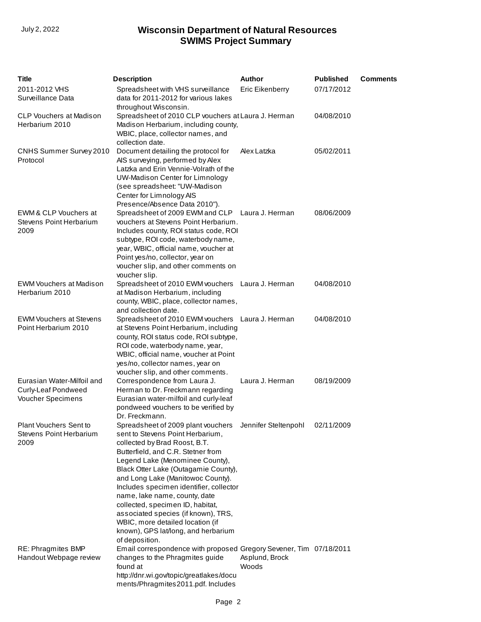| <b>Title</b>                                                           | <b>Description</b>                                                                                                                                                                                                                                                                                                                                                                                                                                                                                                                                | <b>Author</b>           | <b>Published</b> | <b>Comments</b> |
|------------------------------------------------------------------------|---------------------------------------------------------------------------------------------------------------------------------------------------------------------------------------------------------------------------------------------------------------------------------------------------------------------------------------------------------------------------------------------------------------------------------------------------------------------------------------------------------------------------------------------------|-------------------------|------------------|-----------------|
| 2011-2012 VHS<br>Surveillance Data                                     | Spreadsheet with VHS surveillance<br>data for 2011-2012 for various lakes                                                                                                                                                                                                                                                                                                                                                                                                                                                                         | Eric Eikenberry         | 07/17/2012       |                 |
| <b>CLP Vouchers at Madison</b><br>Herbarium 2010                       | throughout Wisconsin.<br>Spreadsheet of 2010 CLP vouchers at Laura J. Herman<br>Madison Herbarium, including county,<br>WBIC, place, collector names, and<br>collection date.                                                                                                                                                                                                                                                                                                                                                                     |                         | 04/08/2010       |                 |
| CNHS Summer Survey 2010<br>Protocol                                    | Document detailing the protocol for<br>AIS surveying, performed by Alex<br>Latzka and Erin Vennie-Volrath of the<br>UW-Madison Center for Limnology<br>(see spreadsheet: "UW-Madison<br>Center for Limnology AIS<br>Presence/Absence Data 2010").                                                                                                                                                                                                                                                                                                 | Alex Latzka             | 05/02/2011       |                 |
| EWM & CLP Vouchers at<br><b>Stevens Point Herbarium</b><br>2009        | Spreadsheet of 2009 EWM and CLP Laura J. Herman<br>vouchers at Stevens Point Herbarium.<br>Includes county, ROI status code, ROI<br>subtype, ROI code, waterbody name,<br>year, WBIC, official name, voucher at<br>Point yes/no, collector, year on<br>voucher slip, and other comments on<br>voucher slip.                                                                                                                                                                                                                                       |                         | 08/06/2009       |                 |
| <b>EWM Vouchers at Madison</b><br>Herbarium 2010                       | Spreadsheet of 2010 EWM vouchers Laura J. Herman<br>at Madison Herbarium, including<br>county, WBIC, place, collector names,<br>and collection date.                                                                                                                                                                                                                                                                                                                                                                                              |                         | 04/08/2010       |                 |
| <b>EWM Vouchers at Stevens</b><br>Point Herbarium 2010                 | Spreadsheet of 2010 EWM vouchers Laura J. Herman<br>at Stevens Point Herbarium, including<br>county, ROI status code, ROI subtype,<br>ROI code, waterbody name, year,<br>WBIC, official name, voucher at Point<br>yes/no, collector names, year on<br>voucher slip, and other comments.                                                                                                                                                                                                                                                           |                         | 04/08/2010       |                 |
| Eurasian Water-Milfoil and<br>Curly-Leaf Pondweed<br>Voucher Specimens | Correspondence from Laura J.<br>Herman to Dr. Freckmann regarding<br>Eurasian water-milfoil and curly-leaf<br>pondweed vouchers to be verified by<br>Dr. Freckmann.                                                                                                                                                                                                                                                                                                                                                                               | Laura J. Herman         | 08/19/2009       |                 |
| Plant Vouchers Sent to<br>Stevens Point Herbarium<br>2009              | Spreadsheet of 2009 plant vouchers Jennifer Steltenpohl 02/11/2009<br>sent to Stevens Point Herbarium,<br>collected by Brad Roost, B.T.<br>Butterfield, and C.R. Stetner from<br>Legend Lake (Menominee County),<br>Black Otter Lake (Outagamie County),<br>and Long Lake (Manitowoc County).<br>Includes specimen identifier, collector<br>name, lake name, county, date<br>collected, specimen ID, habitat,<br>associated species (if known), TRS,<br>WBIC, more detailed location (if<br>known), GPS lat/long, and herbarium<br>of deposition. |                         |                  |                 |
| RE: Phragmites BMP<br>Handout Webpage review                           | Email correspondence with proposed Gregory Sevener, Tim 07/18/2011<br>changes to the Phragmites guide<br>found at<br>http://dnr.wi.gov/topic/greatlakes/docu<br>ments/Phragmites2011.pdf. Includes                                                                                                                                                                                                                                                                                                                                                | Asplund, Brock<br>Woods |                  |                 |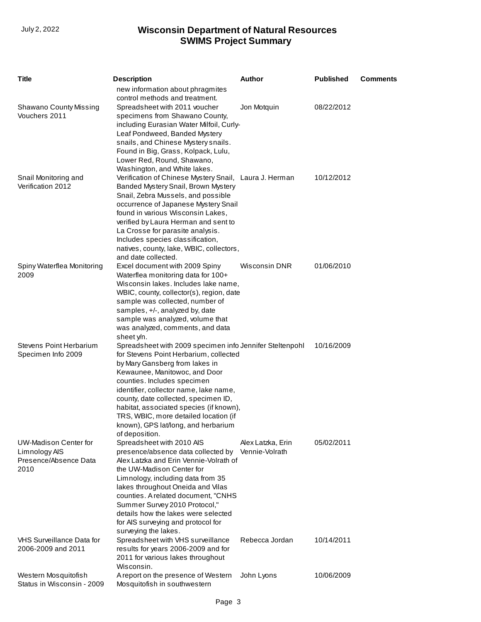| <b>Title</b>                                                                   | <b>Description</b>                                                                                                                                                                                                                                                                                                                                                                                                                                | <b>Author</b>        | <b>Published</b> | <b>Comments</b> |
|--------------------------------------------------------------------------------|---------------------------------------------------------------------------------------------------------------------------------------------------------------------------------------------------------------------------------------------------------------------------------------------------------------------------------------------------------------------------------------------------------------------------------------------------|----------------------|------------------|-----------------|
|                                                                                | new information about phragmites<br>control methods and treatment.                                                                                                                                                                                                                                                                                                                                                                                |                      |                  |                 |
| <b>Shawano County Missing</b><br>Vouchers 2011                                 | Spreadsheet with 2011 voucher<br>specimens from Shawano County,<br>including Eurasian Water Milfoil, Curly-<br>Leaf Pondweed, Banded Mystery<br>snails, and Chinese Mystery snails.                                                                                                                                                                                                                                                               | Jon Motquin          | 08/22/2012       |                 |
| Snail Monitoring and<br>Verification 2012                                      | Found in Big, Grass, Kolpack, Lulu,<br>Lower Red, Round, Shawano,<br>Washington, and White lakes.<br>Verification of Chinese Mystery Snail, Laura J. Herman<br>Banded Mystery Snail, Brown Mystery<br>Snail, Zebra Mussels, and possible<br>occurrence of Japanese Mystery Snail<br>found in various Wisconsin Lakes,<br>verified by Laura Herman and sent to                                                                                     |                      | 10/12/2012       |                 |
| Spiny Waterflea Monitoring<br>2009                                             | La Crosse for parasite analysis.<br>Includes species classification,<br>natives, county, lake, WBIC, collectors,<br>and date collected.<br>Excel document with 2009 Spiny<br>Waterflea monitoring data for 100+                                                                                                                                                                                                                                   | <b>Wisconsin DNR</b> | 01/06/2010       |                 |
|                                                                                | Wisconsin lakes. Includes lake name,<br>WBIC, county, collector(s), region, date<br>sample was collected, number of<br>samples, +/-, analyzed by, date<br>sample was analyzed, volume that<br>was analyzed, comments, and data                                                                                                                                                                                                                    |                      |                  |                 |
| <b>Stevens Point Herbarium</b><br>Specimen Info 2009                           | sheet y/n.<br>Spreadsheet with 2009 specimen info Jennifer Steltenpohl<br>for Stevens Point Herbarium, collected<br>by Mary Gansberg from lakes in<br>Kewaunee, Manitowoc, and Door<br>counties. Includes specimen<br>identifier, collector name, lake name,<br>county, date collected, specimen ID,<br>habitat, associated species (if known),<br>TRS, WBIC, more detailed location (if<br>known), GPS lat/long, and herbarium<br>of deposition. |                      | 10/16/2009       |                 |
| <b>UW-Madison Center for</b><br>Limnology AIS<br>Presence/Absence Data<br>2010 | Spreadsheet with 2010 AIS<br>presence/absence data collected by Vennie-Volrath<br>Alex Latzka and Erin Vennie-Volrath of<br>the UW-Madison Center for<br>Limnology, including data from 35<br>lakes throughout Oneida and Vilas<br>counties. A related document, "CNHS<br>Summer Survey 2010 Protocol,"<br>details how the lakes were selected<br>for AIS surveying and protocol for<br>surveying the lakes.                                      | Alex Latzka, Erin    | 05/02/2011       |                 |
| VHS Surveillance Data for<br>2006-2009 and 2011                                | Spreadsheet with VHS surveillance<br>results for years 2006-2009 and for<br>2011 for various lakes throughout<br>Wisconsin.                                                                                                                                                                                                                                                                                                                       | Rebecca Jordan       | 10/14/2011       |                 |
| Western Mosquitofish<br>Status in Wisconsin - 2009                             | A report on the presence of Western<br>Mosquitofish in southwestern                                                                                                                                                                                                                                                                                                                                                                               | John Lyons           | 10/06/2009       |                 |